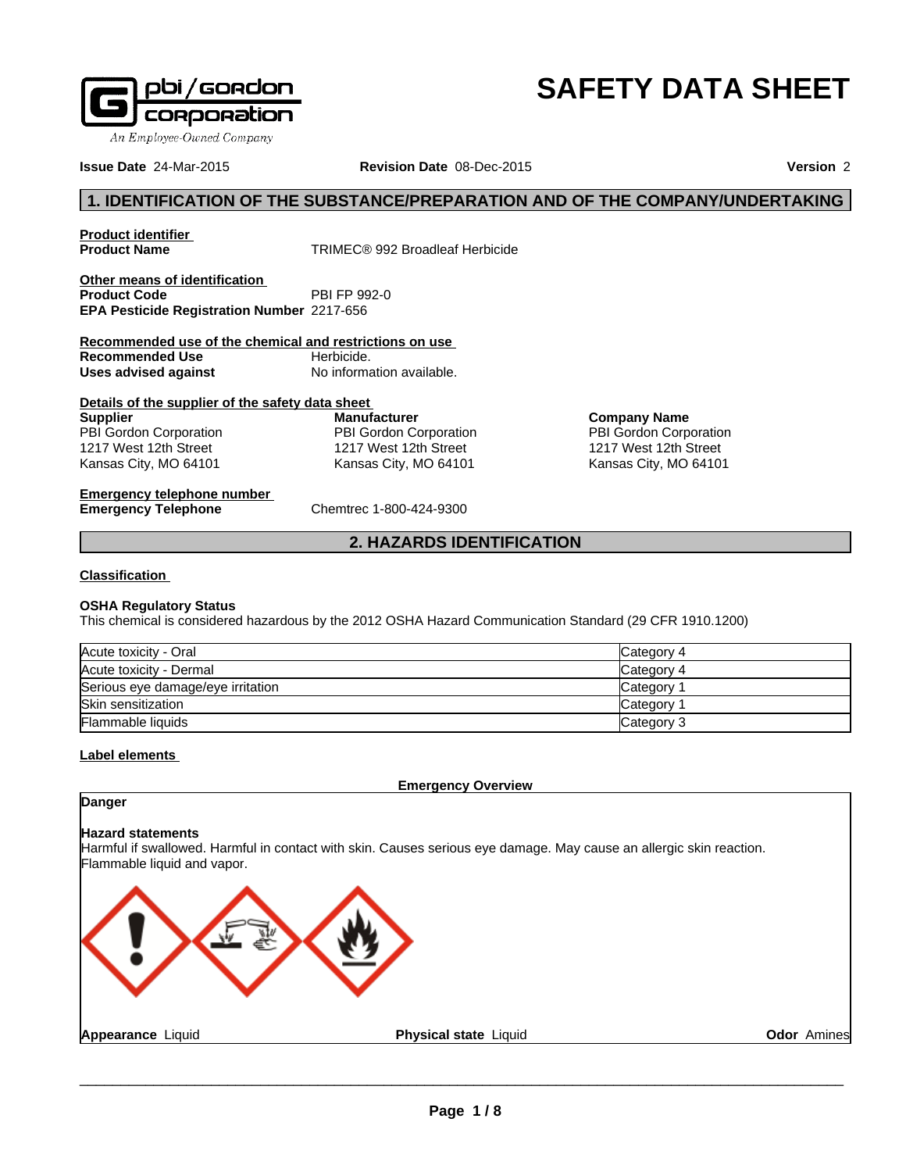

# **SAFETY DATA SHEET**

**Issue Date** 24-Mar-2015

**Revision Date** 08-Dec-2015 **Version** 2

# **1. IDENTIFICATION OF THE SUBSTANCE/PREPARATION AND OF THE COMPANY/UNDERTAKING**

**Product identifier** 

**Product Name** TRIMEC® 992 Broadleaf Herbicide

**Other means of identification**<br>**Product Code** PBI FP 992-0 **Product Code EPA Pesticide Registration Number** 2217-656

**Recommended use of the chemical and restrictions on use Recommended Use** Herbicide.<br> **Uses advised against** No information available. **Uses advised against** 

**Details of the supplier of the safety data sheet Supplier** PBI Gordon Corporation 1217 West 12th Street Kansas City, MO 64101

**Manufacturer** PBI Gordon Corporation 1217 West 12th Street Kansas City, MO 64101

**Company Name** PBI Gordon Corporation 1217 West 12th Street Kansas City, MO 64101

**Emergency telephone number**<br> **Emergency Telephone**<br>
Chemtrec 1-800-424-9300 **Emergency Telephone** 

# **2. HAZARDS IDENTIFICATION**

#### **Classification**

#### **OSHA Regulatory Status**

This chemical is considered hazardous by the 2012 OSHA Hazard Communication Standard (29 CFR 1910.1200)

| Acute toxicity - Oral             | Category 4 |
|-----------------------------------|------------|
| Acute toxicity - Dermal           | Category 4 |
| Serious eye damage/eye irritation | Category   |
| Skin sensitization                | Category   |
| <b>Flammable liquids</b>          | Category 3 |

# **Label elements**

**Emergency Overview**

# **Danger**

#### **Hazard statements**

Harmful if swallowed. Harmful in contact with skin. Causes serious eye damage. May cause an allergic skin reaction. Flammable liquid and vapor.

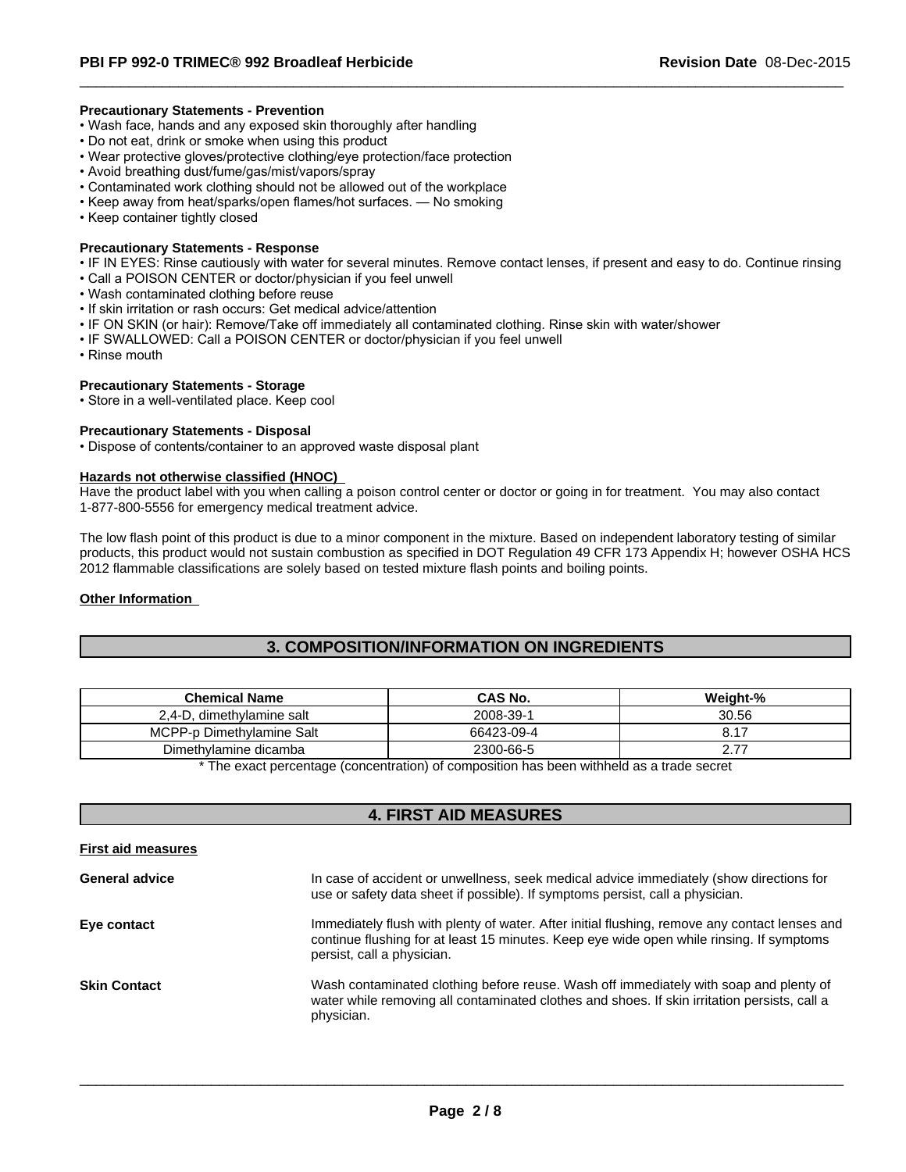#### **Precautionary Statements - Prevention**

- Wash face, hands and any exposed skin thoroughly after handling
- Do not eat, drink or smoke when using this product
- Wear protective gloves/protective clothing/eye protection/face protection
- Avoid breathing dust/fume/gas/mist/vapors/spray
- Contaminated work clothing should not be allowed out of the workplace
- Keep away from heat/sparks/open flames/hot surfaces. No smoking
- Keep container tightly closed

#### **Precautionary Statements - Response**

• IF IN EYES: Rinse cautiously with water for several minutes. Remove contact lenses, if present and easy to do. Continue rinsing

 $\overline{\phantom{a}}$  ,  $\overline{\phantom{a}}$  ,  $\overline{\phantom{a}}$  ,  $\overline{\phantom{a}}$  ,  $\overline{\phantom{a}}$  ,  $\overline{\phantom{a}}$  ,  $\overline{\phantom{a}}$  ,  $\overline{\phantom{a}}$  ,  $\overline{\phantom{a}}$  ,  $\overline{\phantom{a}}$  ,  $\overline{\phantom{a}}$  ,  $\overline{\phantom{a}}$  ,  $\overline{\phantom{a}}$  ,  $\overline{\phantom{a}}$  ,  $\overline{\phantom{a}}$  ,  $\overline{\phantom{a}}$ 

- Call a POISON CENTER or doctor/physician if you feel unwell
- Wash contaminated clothing before reuse
- If skin irritation or rash occurs: Get medical advice/attention
- IF ON SKIN (or hair): Remove/Take off immediately all contaminated clothing. Rinse skin with water/shower
- IF SWALLOWED: Call a POISON CENTER or doctor/physician if you feel unwell
- Rinse mouth

#### **Precautionary Statements - Storage**

• Store in a well-ventilated place. Keep cool

#### **Precautionary Statements - Disposal**

• Dispose of contents/container to an approved waste disposal plant

#### **Hazards not otherwise classified (HNOC)**

Have the product label with you when calling a poison control center or doctor or going in for treatment. You may also contact 1-877-800-5556 for emergency medical treatment advice.

The low flash point of this product is due to a minor component in the mixture. Based on independent laboratory testing of similar products, this product would not sustain combustion as specified in DOT Regulation 49 CFR 173 Appendix H; however OSHA HCS 2012 flammable classifications are solely based on tested mixture flash points and boiling points.

#### **Other Information**

# **3. COMPOSITION/INFORMATION ON INGREDIENTS**

| <b>Chemical Name</b>              | CAS No.    | Weight-%             |
|-----------------------------------|------------|----------------------|
| $2.4 - D$<br>, dimethylamine salt | 2008-39-1  | 30.56                |
| Dimethvlamine Salt<br>MCPP-       | 66423-09-4 | ັບ. ເ                |
| Dimethylamine dicamba             | 2300-66-5  | $- -$<br><u>. . </u> |

\* The exact percentage (concentration) of composition has been withheld as a trade secret

# **4. FIRST AID MEASURES**

| <b>First aid measures</b> |                                                                                                                                                                                                                         |
|---------------------------|-------------------------------------------------------------------------------------------------------------------------------------------------------------------------------------------------------------------------|
| <b>General advice</b>     | In case of accident or unwellness, seek medical advice immediately (show directions for<br>use or safety data sheet if possible). If symptoms persist, call a physician.                                                |
| Eye contact               | Immediately flush with plenty of water. After initial flushing, remove any contact lenses and<br>continue flushing for at least 15 minutes. Keep eye wide open while rinsing. If symptoms<br>persist, call a physician. |
| <b>Skin Contact</b>       | Wash contaminated clothing before reuse. Wash off immediately with soap and plenty of<br>water while removing all contaminated clothes and shoes. If skin irritation persists, call a<br>physician.                     |
|                           |                                                                                                                                                                                                                         |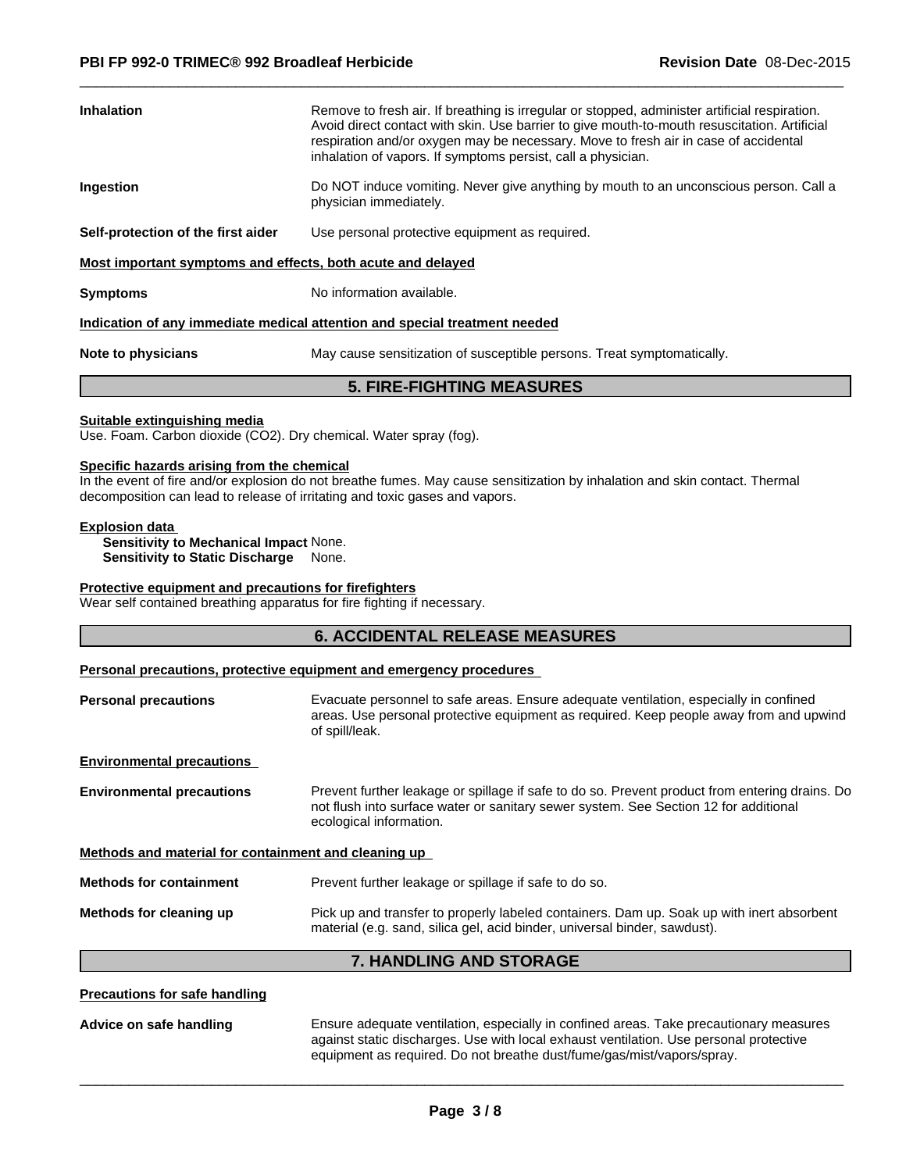| Inhalation                                                  | Remove to fresh air. If breathing is irregular or stopped, administer artificial respiration.<br>Avoid direct contact with skin. Use barrier to give mouth-to-mouth resuscitation. Artificial<br>respiration and/or oxygen may be necessary. Move to fresh air in case of accidental<br>inhalation of vapors. If symptoms persist, call a physician. |
|-------------------------------------------------------------|------------------------------------------------------------------------------------------------------------------------------------------------------------------------------------------------------------------------------------------------------------------------------------------------------------------------------------------------------|
| Ingestion                                                   | Do NOT induce vomiting. Never give anything by mouth to an unconscious person. Call a<br>physician immediately.                                                                                                                                                                                                                                      |
| Self-protection of the first aider                          | Use personal protective equipment as required.                                                                                                                                                                                                                                                                                                       |
| Most important symptoms and effects, both acute and delayed |                                                                                                                                                                                                                                                                                                                                                      |
| Svmptoms                                                    | No information available.                                                                                                                                                                                                                                                                                                                            |

 $\overline{\phantom{a}}$  ,  $\overline{\phantom{a}}$  ,  $\overline{\phantom{a}}$  ,  $\overline{\phantom{a}}$  ,  $\overline{\phantom{a}}$  ,  $\overline{\phantom{a}}$  ,  $\overline{\phantom{a}}$  ,  $\overline{\phantom{a}}$  ,  $\overline{\phantom{a}}$  ,  $\overline{\phantom{a}}$  ,  $\overline{\phantom{a}}$  ,  $\overline{\phantom{a}}$  ,  $\overline{\phantom{a}}$  ,  $\overline{\phantom{a}}$  ,  $\overline{\phantom{a}}$  ,  $\overline{\phantom{a}}$ 

#### **Indication of any immediate medical attention and special treatment needed**

**Note to physicians** May cause sensitization of susceptible persons. Treat symptomatically.

# **5. FIRE-FIGHTING MEASURES**

#### **Suitable extinguishing media**

Use. Foam. Carbon dioxide (CO2). Dry chemical. Water spray (fog).

#### **Specific hazards arising from the chemical**

In the event of fire and/or explosion do not breathe fumes. May cause sensitization by inhalation and skin contact. Thermal decomposition can lead to release of irritating and toxic gases and vapors.

#### **Explosion data**

**Sensitivity to Mechanical Impact** None. **Sensitivity to Static Discharge** None.

#### **Protective equipment and precautions for firefighters**

Wear self contained breathing apparatus for fire fighting if necessary.

#### **6. ACCIDENTAL RELEASE MEASURES**

#### **Personal precautions, protective equipment and emergency procedures**

| <b>Personal precautions</b>                          | Evacuate personnel to safe areas. Ensure adequate ventilation, especially in confined<br>areas. Use personal protective equipment as required. Keep people away from and upwind<br>of spill/leak.                 |  |
|------------------------------------------------------|-------------------------------------------------------------------------------------------------------------------------------------------------------------------------------------------------------------------|--|
| <b>Environmental precautions</b>                     |                                                                                                                                                                                                                   |  |
| <b>Environmental precautions</b>                     | Prevent further leakage or spillage if safe to do so. Prevent product from entering drains. Do<br>not flush into surface water or sanitary sewer system. See Section 12 for additional<br>ecological information. |  |
| Methods and material for containment and cleaning up |                                                                                                                                                                                                                   |  |
| <b>Methods for containment</b>                       | Prevent further leakage or spillage if safe to do so.                                                                                                                                                             |  |
| Methods for cleaning up                              | Pick up and transfer to properly labeled containers. Dam up. Soak up with inert absorbent<br>material (e.g. sand, silica gel, acid binder, universal binder, sawdust).                                            |  |

# **7. HANDLING AND STORAGE**

#### **Precautions for safe handling**

**Advice on safe handling** Ensure adequate ventilation, especially in confined areas. Take precautionary measures against static discharges. Use with local exhaust ventilation. Use personal protective equipment as required. Do not breathe dust/fume/gas/mist/vapors/spray.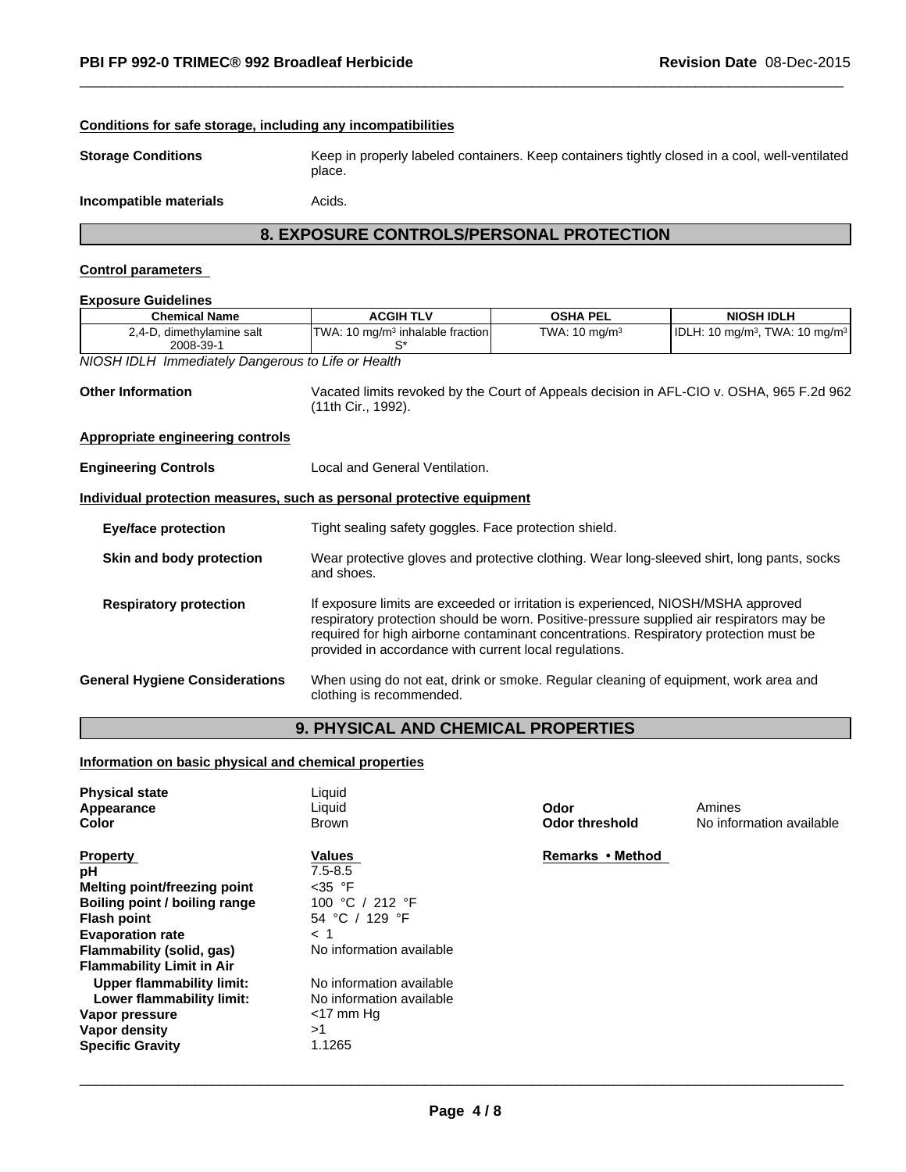| <b>Storage Conditions</b>                                             | Keep in properly labeled containers. Keep containers tightly closed in a cool, well-ventilated<br>place.                                                                                                                                                                                                                         |                           |                                                                                          |
|-----------------------------------------------------------------------|----------------------------------------------------------------------------------------------------------------------------------------------------------------------------------------------------------------------------------------------------------------------------------------------------------------------------------|---------------------------|------------------------------------------------------------------------------------------|
| Incompatible materials                                                | Acids.                                                                                                                                                                                                                                                                                                                           |                           |                                                                                          |
|                                                                       | 8. EXPOSURE CONTROLS/PERSONAL PROTECTION                                                                                                                                                                                                                                                                                         |                           |                                                                                          |
| <b>Control parameters</b>                                             |                                                                                                                                                                                                                                                                                                                                  |                           |                                                                                          |
| <b>Exposure Guidelines</b>                                            |                                                                                                                                                                                                                                                                                                                                  |                           |                                                                                          |
| <b>Chemical Name</b>                                                  | <b>ACGIH TLV</b>                                                                                                                                                                                                                                                                                                                 | <b>OSHA PEL</b>           | <b>NIOSH IDLH</b>                                                                        |
| 2,4-D, dimethylamine salt<br>2008-39-1                                | TWA: 10 mg/m <sup>3</sup> inhalable fraction<br>S*                                                                                                                                                                                                                                                                               | TWA: 10 mg/m <sup>3</sup> | IDLH: 10 mg/m <sup>3</sup> , TWA: 10 mg/m <sup>3</sup>                                   |
| <b>NIOSH IDLH Immediately Dangerous to Life or Health</b>             |                                                                                                                                                                                                                                                                                                                                  |                           |                                                                                          |
| <b>Other Information</b>                                              | (11th Cir., 1992).                                                                                                                                                                                                                                                                                                               |                           | Vacated limits revoked by the Court of Appeals decision in AFL-CIO v. OSHA, 965 F.2d 962 |
|                                                                       |                                                                                                                                                                                                                                                                                                                                  |                           |                                                                                          |
| Appropriate engineering controls                                      |                                                                                                                                                                                                                                                                                                                                  |                           |                                                                                          |
| <b>Engineering Controls</b>                                           | Local and General Ventilation.                                                                                                                                                                                                                                                                                                   |                           |                                                                                          |
| Individual protection measures, such as personal protective equipment |                                                                                                                                                                                                                                                                                                                                  |                           |                                                                                          |
| <b>Eye/face protection</b>                                            | Tight sealing safety goggles. Face protection shield.                                                                                                                                                                                                                                                                            |                           |                                                                                          |
| Skin and body protection                                              | Wear protective gloves and protective clothing. Wear long-sleeved shirt, long pants, socks<br>and shoes.                                                                                                                                                                                                                         |                           |                                                                                          |
| <b>Respiratory protection</b>                                         | If exposure limits are exceeded or irritation is experienced, NIOSH/MSHA approved<br>respiratory protection should be worn. Positive-pressure supplied air respirators may be<br>required for high airborne contaminant concentrations. Respiratory protection must be<br>provided in accordance with current local regulations. |                           |                                                                                          |
| <b>General Hygiene Considerations</b>                                 | When using do not eat, drink or smoke. Regular cleaning of equipment, work area and<br>clothing is recommended.                                                                                                                                                                                                                  |                           |                                                                                          |

 $\overline{\phantom{a}}$  ,  $\overline{\phantom{a}}$  ,  $\overline{\phantom{a}}$  ,  $\overline{\phantom{a}}$  ,  $\overline{\phantom{a}}$  ,  $\overline{\phantom{a}}$  ,  $\overline{\phantom{a}}$  ,  $\overline{\phantom{a}}$  ,  $\overline{\phantom{a}}$  ,  $\overline{\phantom{a}}$  ,  $\overline{\phantom{a}}$  ,  $\overline{\phantom{a}}$  ,  $\overline{\phantom{a}}$  ,  $\overline{\phantom{a}}$  ,  $\overline{\phantom{a}}$  ,  $\overline{\phantom{a}}$ 

| <b>Physical state</b>            | Liquid                   |                  |                          |
|----------------------------------|--------------------------|------------------|--------------------------|
| Appearance                       | Liquid                   | Odor             | Amines                   |
| Color                            | Brown                    | Odor threshold   | No information available |
|                                  |                          |                  |                          |
| <b>Property</b>                  | Values                   | Remarks • Method |                          |
| рH                               | $7.5 - 8.5$              |                  |                          |
| Melting point/freezing point     | $<$ 35 $\degree$ F       |                  |                          |
| Boiling point / boiling range    | 100 °C / 212 °F          |                  |                          |
| <b>Flash point</b>               | 54 °C / 129 °F           |                  |                          |
| <b>Evaporation rate</b>          | $<$ 1                    |                  |                          |
| Flammability (solid, gas)        | No information available |                  |                          |
| <b>Flammability Limit in Air</b> |                          |                  |                          |
| <b>Upper flammability limit:</b> | No information available |                  |                          |
| Lower flammability limit:        | No information available |                  |                          |
| Vapor pressure                   | $<$ 17 mm Hg             |                  |                          |
| Vapor density                    | >1                       |                  |                          |
| <b>Specific Gravity</b>          | 1.1265                   |                  |                          |
|                                  |                          |                  |                          |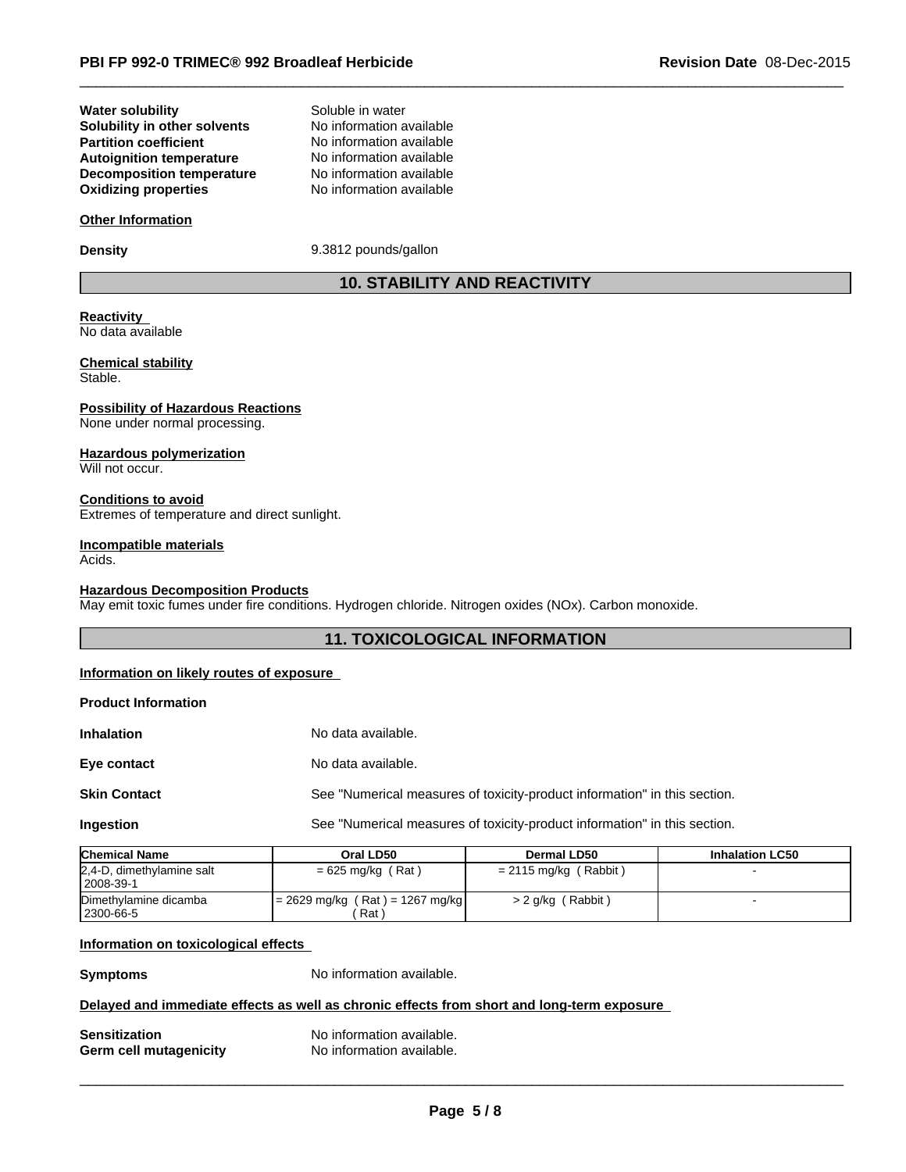# **Decomposition temperature** No information available<br> **Oxidizing properties** No information available **Solubility in other solvents** No information available<br> **Partition coefficient** No information available **Oxidizing properties Water solubility Autoignition temperature**

No information available<br>No information available Soluble in water

## **Other Information**

**Density** 9.3812 pounds/gallon

# **10. STABILITY AND REACTIVITY**

 $\overline{\phantom{a}}$  ,  $\overline{\phantom{a}}$  ,  $\overline{\phantom{a}}$  ,  $\overline{\phantom{a}}$  ,  $\overline{\phantom{a}}$  ,  $\overline{\phantom{a}}$  ,  $\overline{\phantom{a}}$  ,  $\overline{\phantom{a}}$  ,  $\overline{\phantom{a}}$  ,  $\overline{\phantom{a}}$  ,  $\overline{\phantom{a}}$  ,  $\overline{\phantom{a}}$  ,  $\overline{\phantom{a}}$  ,  $\overline{\phantom{a}}$  ,  $\overline{\phantom{a}}$  ,  $\overline{\phantom{a}}$ 

#### **Reactivity**  No data available

#### **Chemical stability** Stable.

**Possibility of Hazardous Reactions** None under normal processing.

#### **Hazardous polymerization**

Will not occur.

#### **Conditions to avoid** Extremes of temperature and direct sunlight.

#### **Incompatible materials**

Acids.

#### **Hazardous Decomposition Products**

May emit toxic fumes under fire conditions. Hydrogen chloride. Nitrogen oxides (NOx). Carbon monoxide.

# **11. TOXICOLOGICAL INFORMATION**

#### **Information on likely routes of exposure**

#### **Product Information**

| <b>Inhalation</b>   | No data available.                                                        |
|---------------------|---------------------------------------------------------------------------|
| Eye contact         | No data available.                                                        |
| <b>Skin Contact</b> | See "Numerical measures of toxicity-product information" in this section. |
| Ingestion           | See "Numerical measures of toxicity-product information" in this section. |

| <b>Chemical Name</b>                       | Oral LD50                                 | Dermal LD50             | <b>Inhalation LC50</b> |
|--------------------------------------------|-------------------------------------------|-------------------------|------------------------|
| 2,4-D, dimethylamine salt<br>$ 2008-39-1 $ | $= 625$ mg/kg (Rat)                       | $= 2115$ mg/kg (Rabbit) |                        |
| Dimethylamine dicamba<br>  2300-66-5       | $= 2629$ mg/kg (Rat) = 1267 mg/kg<br>Rat) | $> 2$ g/kg (Rabbit)     |                        |

#### **Information on toxicological effects**

**Symptoms** No information available.

#### **Delayed and immediate effects as well as chronic effects from short and long-term exposure**

| <b>Sensitization</b>   | No information available. |
|------------------------|---------------------------|
| Germ cell mutagenicity | No information available. |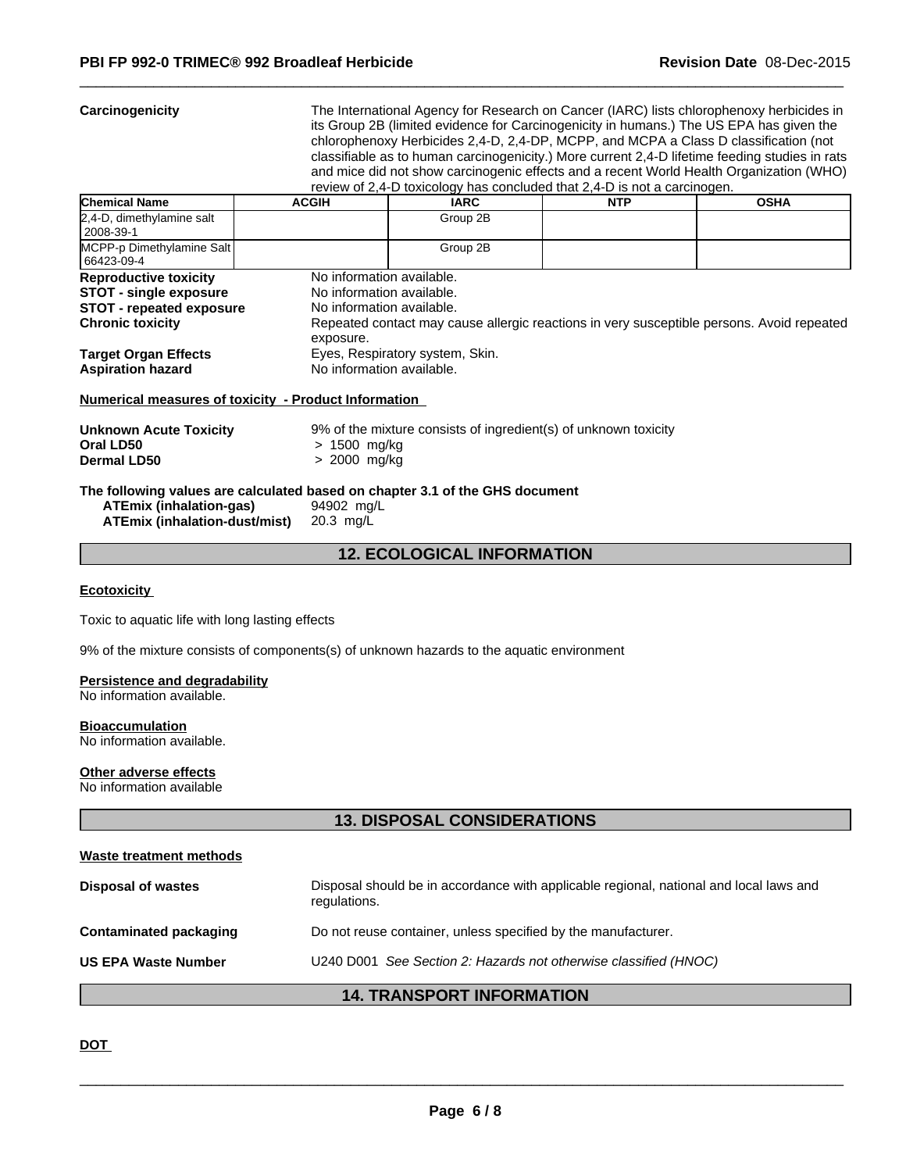**Carcinogenicity** The International Agency for Research on Cancer (IARC) lists chlorophenoxy herbicides in its Group 2B (limited evidence for Carcinogenicity in humans.) The US EPA has given the chlorophenoxy Herbicides 2,4-D, 2,4-DP, MCPP, and MCPA a Class D classification (not classifiable as to human carcinogenicity.) More current 2,4-D lifetime feeding studies in rats and mice did not show carcinogenic effects and a recent World Health Organization (WHO) review of 2,4-D toxicology has concluded that 2,4-D is not a carcinogen.

 $\overline{\phantom{a}}$  ,  $\overline{\phantom{a}}$  ,  $\overline{\phantom{a}}$  ,  $\overline{\phantom{a}}$  ,  $\overline{\phantom{a}}$  ,  $\overline{\phantom{a}}$  ,  $\overline{\phantom{a}}$  ,  $\overline{\phantom{a}}$  ,  $\overline{\phantom{a}}$  ,  $\overline{\phantom{a}}$  ,  $\overline{\phantom{a}}$  ,  $\overline{\phantom{a}}$  ,  $\overline{\phantom{a}}$  ,  $\overline{\phantom{a}}$  ,  $\overline{\phantom{a}}$  ,  $\overline{\phantom{a}}$ 

| <b>Chemical Name</b>                                                                                                        | <b>ACGIH</b>                                                                                     | <b>IARC</b>                     | <b>NTP</b>                                                                                | <b>OSHA</b> |
|-----------------------------------------------------------------------------------------------------------------------------|--------------------------------------------------------------------------------------------------|---------------------------------|-------------------------------------------------------------------------------------------|-------------|
| 2,4-D, dimethylamine salt<br>2008-39-1                                                                                      |                                                                                                  | Group 2B                        |                                                                                           |             |
| MCPP-p Dimethylamine Salt<br>66423-09-4                                                                                     |                                                                                                  | Group 2B                        |                                                                                           |             |
| <b>Reproductive toxicity</b><br><b>STOT - single exposure</b><br><b>STOT</b> - repeated exposure<br><b>Chronic toxicity</b> | No information available.<br>No information available.<br>No information available.<br>exposure. |                                 | Repeated contact may cause allergic reactions in very susceptible persons. Avoid repeated |             |
| <b>Target Organ Effects</b><br><b>Aspiration hazard</b>                                                                     | No information available.                                                                        | Eyes, Respiratory system, Skin. |                                                                                           |             |

#### **Numerical measures of toxicity - Product Information**

| <b>Unknown Acute Toxicity</b> | 9% of the mixture consists of ingredient(s) of unknown toxicity |
|-------------------------------|-----------------------------------------------------------------|
| Oral LD50                     | > 1500 mg/kg                                                    |
| <b>Dermal LD50</b>            | > 2000 mg/kg                                                    |

**The following values are calculated based on chapter 3.1 of the GHS document**

| <b>ATEmix (inhalation-gas)</b> | 94902 mg/L |
|--------------------------------|------------|
| ATEmix (inhalation-dust/mist)  | 20.3 mg/L  |

## **12. ECOLOGICAL INFORMATION**

#### **Ecotoxicity**

Toxic to aquatic life with long lasting effects

9% of the mixture consists of components(s) of unknown hazards to the aquatic environment

#### **Persistence and degradability**

No information available.

# **Bioaccumulation**

No information available.

#### **Other adverse effects**

No information available

# **13. DISPOSAL CONSIDERATIONS**

#### **Waste treatment methods**

|                               | <b>14. TRANSPORT INFORMATION</b>                                                                       |
|-------------------------------|--------------------------------------------------------------------------------------------------------|
| <b>US EPA Waste Number</b>    | U240 D001 See Section 2: Hazards not otherwise classified (HNOC)                                       |
| <b>Contaminated packaging</b> | Do not reuse container, unless specified by the manufacturer.                                          |
| <b>Disposal of wastes</b>     | Disposal should be in accordance with applicable regional, national and local laws and<br>regulations. |

#### **DOT**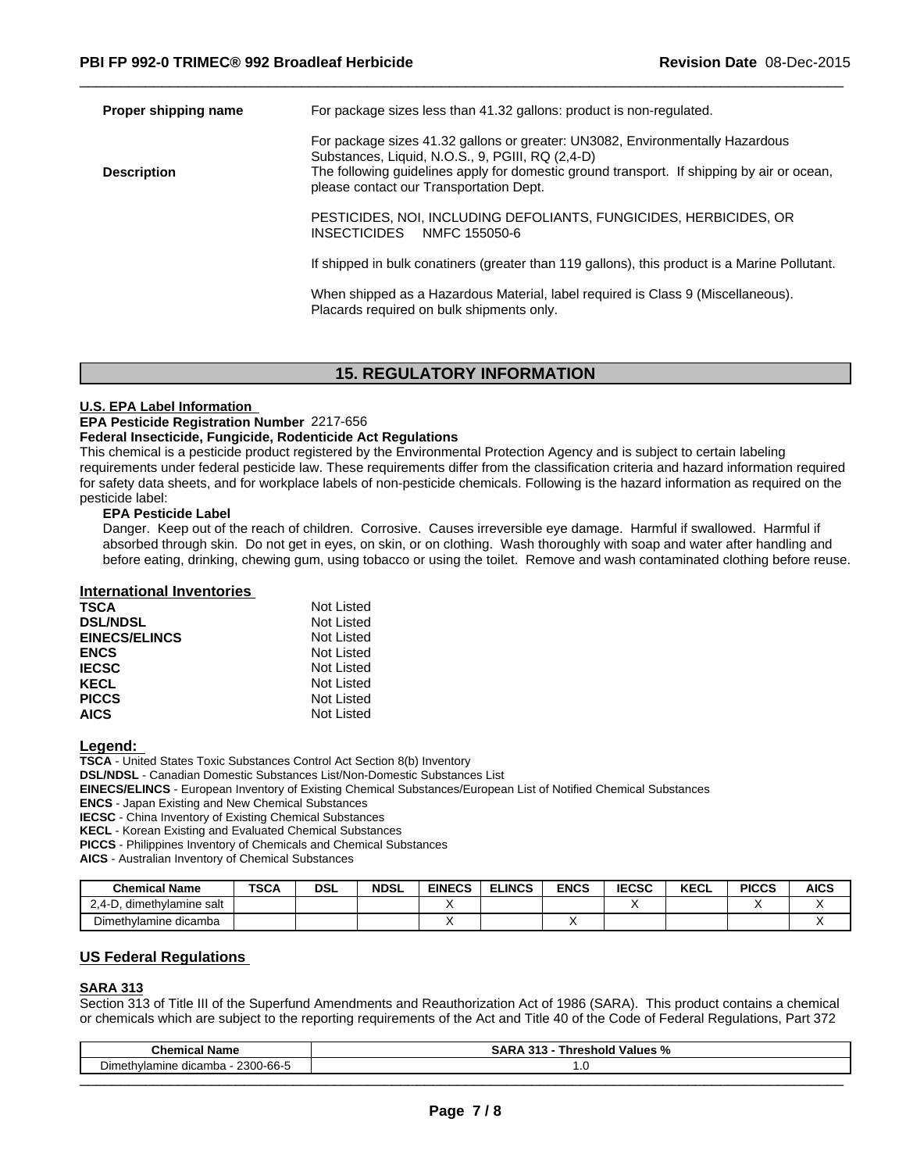| Proper shipping name | For package sizes less than 41.32 gallons: product is non-regulated.                                                                                                                                                                                                       |
|----------------------|----------------------------------------------------------------------------------------------------------------------------------------------------------------------------------------------------------------------------------------------------------------------------|
| <b>Description</b>   | For package sizes 41.32 gallons or greater: UN3082, Environmentally Hazardous<br>Substances, Liquid, N.O.S., 9, PGIII, RQ (2,4-D)<br>The following guidelines apply for domestic ground transport. If shipping by air or ocean,<br>please contact our Transportation Dept. |
|                      | PESTICIDES, NOI, INCLUDING DEFOLIANTS, FUNGICIDES, HERBICIDES, OR<br><b>INSECTICIDES</b><br>NMFC 155050-6                                                                                                                                                                  |
|                      | If shipped in bulk conatiners (greater than 119 gallons), this product is a Marine Pollutant.                                                                                                                                                                              |
|                      | When shipped as a Hazardous Material, label required is Class 9 (Miscellaneous).<br>Placards required on bulk shipments only.                                                                                                                                              |

 $\overline{\phantom{a}}$  ,  $\overline{\phantom{a}}$  ,  $\overline{\phantom{a}}$  ,  $\overline{\phantom{a}}$  ,  $\overline{\phantom{a}}$  ,  $\overline{\phantom{a}}$  ,  $\overline{\phantom{a}}$  ,  $\overline{\phantom{a}}$  ,  $\overline{\phantom{a}}$  ,  $\overline{\phantom{a}}$  ,  $\overline{\phantom{a}}$  ,  $\overline{\phantom{a}}$  ,  $\overline{\phantom{a}}$  ,  $\overline{\phantom{a}}$  ,  $\overline{\phantom{a}}$  ,  $\overline{\phantom{a}}$ 

# **15. REGULATORY INFORMATION**

#### **U.S. EPA Label Information**

#### **EPA Pesticide Registration Number** 2217-656

#### **Federal Insecticide, Fungicide, Rodenticide Act Regulations**

This chemical is a pesticide product registered by the Environmental Protection Agency and is subject to certain labeling requirements under federal pesticide law. These requirements differ from the classification criteria and hazard information required for safety data sheets, and for workplace labels of non-pesticide chemicals. Following is the hazard information as required on the pesticide label:

#### **EPA Pesticide Label**

Danger. Keep out of the reach of children. Corrosive. Causes irreversible eye damage. Harmful if swallowed. Harmful if absorbed through skin. Do not get in eyes, on skin, or on clothing. Wash thoroughly with soap and water after handling and before eating, drinking, chewing gum, using tobacco or using the toilet. Remove and wash contaminated clothing before reuse.

#### **International Inventories**

| Not Listed |
|------------|
| Not Listed |
| Not Listed |
| Not Listed |
| Not Listed |
| Not Listed |
| Not Listed |
| Not Listed |
|            |

#### **Legend:**

**TSCA** - United States Toxic Substances Control Act Section 8(b) Inventory

**DSL/NDSL** - Canadian Domestic Substances List/Non-Domestic Substances List

**EINECS/ELINCS** - European Inventory of Existing Chemical Substances/European List of Notified Chemical Substances

**ENCS** - Japan Existing and New Chemical Substances

**IECSC** - China Inventory of Existing Chemical Substances

**KECL** - Korean Existing and Evaluated Chemical Substances

**PICCS** - Philippines Inventory of Chemicals and Chemical Substances

**AICS** - Australian Inventory of Chemical Substances

| <b>Chemical Name</b>        | <b>TSCA</b> | <b>DSL</b> | <b>NDSL</b> | <b>EINECS</b> | <b>ELINCS</b> | <b>ENCS</b> | <b>IECSC</b> | <b>KECL</b> | <b>PICCS</b> | <b>AICS</b> |
|-----------------------------|-------------|------------|-------------|---------------|---------------|-------------|--------------|-------------|--------------|-------------|
| 2.4-D<br>dimethylamine salt |             |            |             |               |               |             |              |             |              | ,,          |
| Dimethylamine dicamba       |             |            |             |               |               |             |              |             |              | $\lambda$   |

## **US Federal Regulations**

#### **SARA 313**

Section 313 of Title III of the Superfund Amendments and Reauthorization Act of 1986 (SARA). This product contains a chemical or chemicals which are subject to the reporting requirements of the Act and Title 40 of the Code of Federal Regulations, Part 372

| <b>Chemical Name</b>                            | . .<br>ΞA<br>Values<br>.⇔snold <sup>v∽i</sup><br>SARA.<br>nre<br><br>. . |  |  |  |
|-------------------------------------------------|--------------------------------------------------------------------------|--|--|--|
| 2300-66-5<br>dicamba<br>Dimethylamine<br>uludl' | . .                                                                      |  |  |  |
|                                                 |                                                                          |  |  |  |